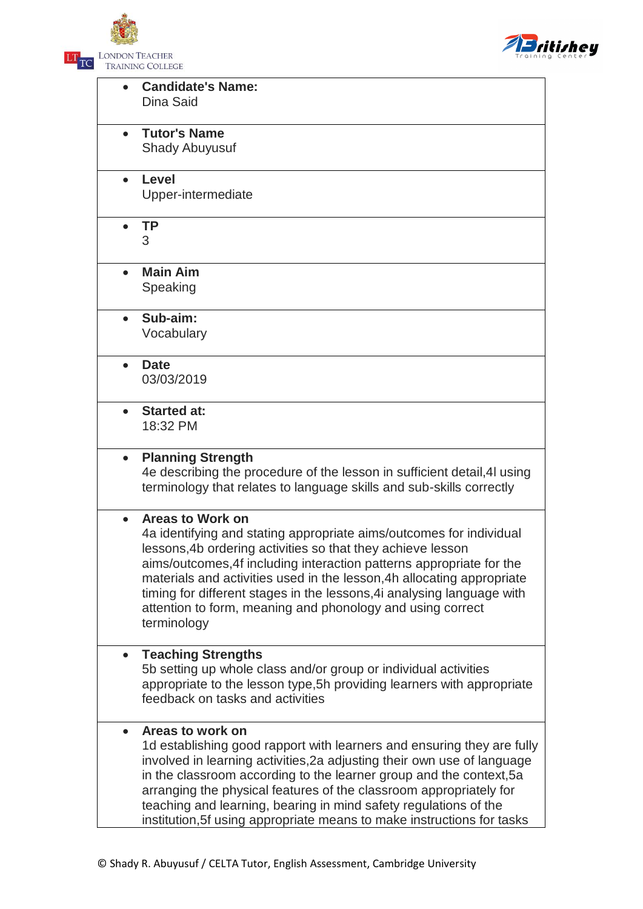



|           | <b>Candidate's Name:</b><br>Dina Said                                    |
|-----------|--------------------------------------------------------------------------|
| $\bullet$ | <b>Tutor's Name</b>                                                      |
|           | <b>Shady Abuyusuf</b>                                                    |
| $\bullet$ | Level                                                                    |
|           | Upper-intermediate                                                       |
|           | <b>TP</b>                                                                |
|           | 3                                                                        |
|           | <b>Main Aim</b>                                                          |
|           | Speaking                                                                 |
|           | Sub-aim:                                                                 |
|           | Vocabulary                                                               |
| $\bullet$ | <b>Date</b>                                                              |
|           | 03/03/2019                                                               |
| $\bullet$ | <b>Started at:</b>                                                       |
|           | 18:32 PM                                                                 |
| $\bullet$ | <b>Planning Strength</b>                                                 |
|           | 4e describing the procedure of the lesson in sufficient detail, 4I using |
|           | terminology that relates to language skills and sub-skills correctly     |
|           | <b>Areas to Work on</b>                                                  |
|           | 4a identifying and stating appropriate aims/outcomes for individual      |
|           | lessons, 4b ordering activities so that they achieve lesson              |
|           | aims/outcomes, 4f including interaction patterns appropriate for the     |
|           | materials and activities used in the lesson, 4h allocating appropriate   |
|           | timing for different stages in the lessons, 4 analysing language with    |
|           | attention to form, meaning and phonology and using correct               |
|           | terminology                                                              |
|           | <b>Teaching Strengths</b>                                                |
|           | 5b setting up whole class and/or group or individual activities          |
|           | appropriate to the lesson type, 5h providing learners with appropriate   |
|           | feedback on tasks and activities                                         |
| $\bullet$ | Areas to work on                                                         |
|           | 1d establishing good rapport with learners and ensuring they are fully   |
|           | involved in learning activities, 2a adjusting their own use of language  |
|           | in the classroom according to the learner group and the context, 5a      |
|           | arranging the physical features of the classroom appropriately for       |
|           | teaching and learning, bearing in mind safety regulations of the         |
|           | institution, 5f using appropriate means to make instructions for tasks   |